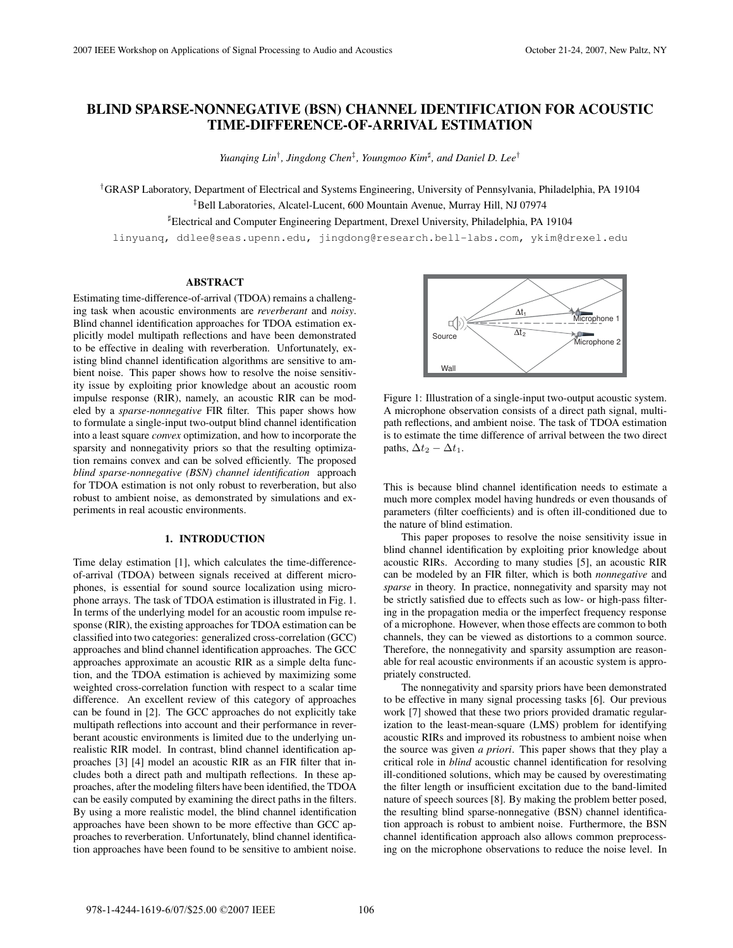# **BLIND SPARSE-NONNEGATIVE (BSN) CHANNEL IDENTIFICATION FOR ACOUSTIC TIME-DIFFERENCE-OF-ARRIVAL ESTIMATION**

*Yuanqing Lin*†*, Jingdong Chen*‡*, Youngmoo Kim*- *, and Daniel D. Lee*†

†GRASP Laboratory, Department of Electrical and Systems Engineering, University of Pennsylvania, Philadelphia, PA 19104 ‡Bell Laboratories, Alcatel-Lucent, 600 Mountain Avenue, Murray Hill, NJ 07974 - Electrical and Computer Engineering Department, Drexel University, Philadelphia, PA 19104

linyuanq, ddlee@seas.upenn.edu, jingdong@research.bell-labs.com, ykim@drexel.edu

## **ABSTRACT**

Estimating time-difference-of-arrival (TDOA) remains a challenging task when acoustic environments are *reverberant* and *noisy*. Blind channel identification approaches for TDOA estimation explicitly model multipath reflections and have been demonstrated to be effective in dealing with reverberation. Unfortunately, existing blind channel identification algorithms are sensitive to ambient noise. This paper shows how to resolve the noise sensitivity issue by exploiting prior knowledge about an acoustic room impulse response (RIR), namely, an acoustic RIR can be modeled by a *sparse-nonnegative* FIR filter. This paper shows how to formulate a single-input two-output blind channel identification into a least square *convex* optimization, and how to incorporate the sparsity and nonnegativity priors so that the resulting optimization remains convex and can be solved efficiently. The proposed *blind sparse-nonnegative (BSN) channel identification* approach for TDOA estimation is not only robust to reverberation, but also robust to ambient noise, as demonstrated by simulations and experiments in real acoustic environments.

## **1. INTRODUCTION**

Time delay estimation [1], which calculates the time-differenceof-arrival (TDOA) between signals received at different microphones, is essential for sound source localization using microphone arrays. The task of TDOA estimation is illustrated in Fig. 1. In terms of the underlying model for an acoustic room impulse response (RIR), the existing approaches for TDOA estimation can be classified into two categories: generalized cross-correlation (GCC) approaches and blind channel identification approaches. The GCC approaches approximate an acoustic RIR as a simple delta function, and the TDOA estimation is achieved by maximizing some weighted cross-correlation function with respect to a scalar time difference. An excellent review of this category of approaches can be found in [2]. The GCC approaches do not explicitly take multipath reflections into account and their performance in reverberant acoustic environments is limited due to the underlying unrealistic RIR model. In contrast, blind channel identification approaches [3] [4] model an acoustic RIR as an FIR filter that includes both a direct path and multipath reflections. In these approaches, after the modeling filters have been identified, the TDOA can be easily computed by examining the direct paths in the filters. By using a more realistic model, the blind channel identification approaches have been shown to be more effective than GCC approaches to reverberation. Unfortunately, blind channel identification approaches have been found to be sensitive to ambient noise.



Figure 1: Illustration of a single-input two-output acoustic system. A microphone observation consists of a direct path signal, multipath reflections, and ambient noise. The task of TDOA estimation is to estimate the time difference of arrival between the two direct paths,  $\Delta t_2 - \Delta t_1$ .

This is because blind channel identification needs to estimate a much more complex model having hundreds or even thousands of parameters (filter coefficients) and is often ill-conditioned due to the nature of blind estimation.

This paper proposes to resolve the noise sensitivity issue in blind channel identification by exploiting prior knowledge about acoustic RIRs. According to many studies [5], an acoustic RIR can be modeled by an FIR filter, which is both *nonnegative* and *sparse* in theory. In practice, nonnegativity and sparsity may not be strictly satisfied due to effects such as low- or high-pass filtering in the propagation media or the imperfect frequency response of a microphone. However, when those effects are common to both channels, they can be viewed as distortions to a common source. Therefore, the nonnegativity and sparsity assumption are reasonable for real acoustic environments if an acoustic system is appropriately constructed.

The nonnegativity and sparsity priors have been demonstrated to be effective in many signal processing tasks [6]. Our previous work [7] showed that these two priors provided dramatic regularization to the least-mean-square (LMS) problem for identifying acoustic RIRs and improved its robustness to ambient noise when the source was given *a priori*. This paper shows that they play a critical role in *blind* acoustic channel identification for resolving ill-conditioned solutions, which may be caused by overestimating the filter length or insufficient excitation due to the band-limited nature of speech sources [8]. By making the problem better posed, the resulting blind sparse-nonnegative (BSN) channel identification approach is robust to ambient noise. Furthermore, the BSN channel identification approach also allows common preprocessing on the microphone observations to reduce the noise level. In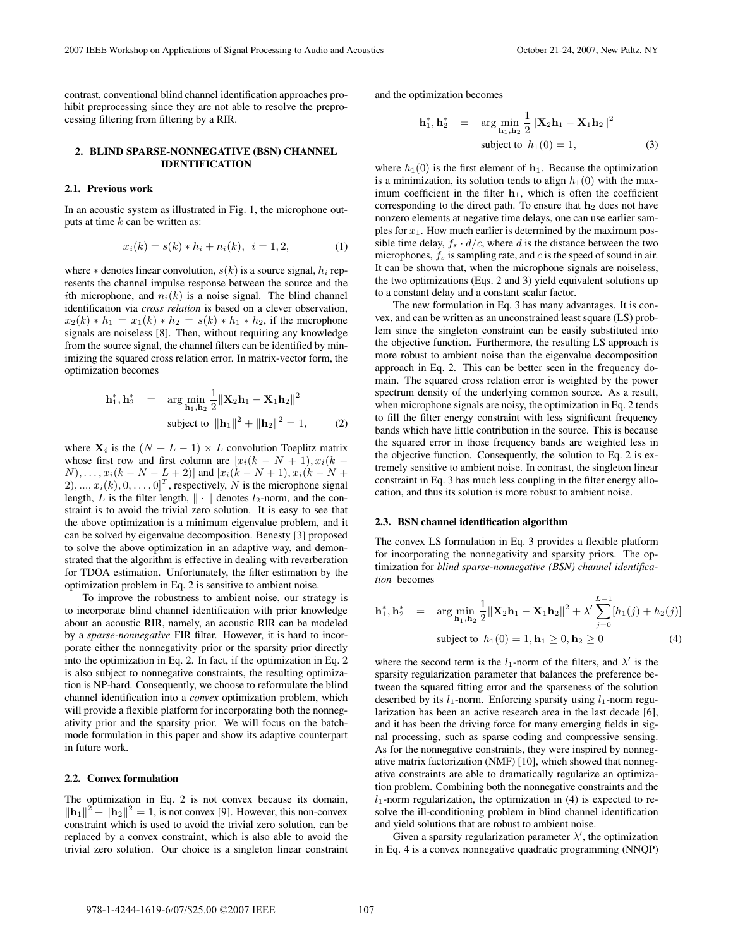contrast, conventional blind channel identification approaches prohibit preprocessing since they are not able to resolve the preprocessing filtering from filtering by a RIR.

# **2. BLIND SPARSE-NONNEGATIVE (BSN) CHANNEL IDENTIFICATION**

#### **2.1. Previous work**

In an acoustic system as illustrated in Fig. 1, the microphone outputs at time  $k$  can be written as:

$$
x_i(k) = s(k) * h_i + n_i(k), \ i = 1, 2,
$$
 (1)

where  $*$  denotes linear convolution,  $s(k)$  is a source signal,  $h_i$  represents the channel impulse response between the source and the ith microphone, and  $n_i(k)$  is a noise signal. The blind channel identification via *cross relation* is based on a clever observation,  $x_2(k) * h_1 = x_1(k) * h_2 = s(k) * h_1 * h_2$ , if the microphone signals are noiseless [8]. Then, without requiring any knowledge from the source signal, the channel filters can be identified by minimizing the squared cross relation error. In matrix-vector form, the optimization becomes

$$
\mathbf{h}_{1}^{*}, \mathbf{h}_{2}^{*} = \arg \min_{\mathbf{h}_{1}, \mathbf{h}_{2}} \frac{1}{2} ||\mathbf{X}_{2} \mathbf{h}_{1} - \mathbf{X}_{1} \mathbf{h}_{2}||^{2}
$$
  
subject to  $||\mathbf{h}_{1}||^{2} + ||\mathbf{h}_{2}||^{2} = 1,$  (2)

where  $\mathbf{X}_i$  is the  $(N + L - 1) \times L$  convolution Toeplitz matrix whose first row and first column are  $[x_i(k - N + 1), x_i(k N$ ,..., $x_i(k - N - L + 2)$ ] and  $[x_i(k - N + 1), x_i(k - N +$  $2)$ , ...,  $x_i(k)$ ,  $0, \ldots, 0$ <sup>T</sup>, respectively, N is the microphone signal length, L is the filter length,  $\|\cdot\|$  denotes  $l_2$ -norm, and the constraint is to avoid the trivial zero solution. It is easy to see that the above optimization is a minimum eigenvalue problem, and it can be solved by eigenvalue decomposition. Benesty [3] proposed to solve the above optimization in an adaptive way, and demonstrated that the algorithm is effective in dealing with reverberation for TDOA estimation. Unfortunately, the filter estimation by the optimization problem in Eq. 2 is sensitive to ambient noise.

To improve the robustness to ambient noise, our strategy is to incorporate blind channel identification with prior knowledge about an acoustic RIR, namely, an acoustic RIR can be modeled by a *sparse-nonnegative* FIR filter. However, it is hard to incorporate either the nonnegativity prior or the sparsity prior directly into the optimization in Eq. 2. In fact, if the optimization in Eq. 2 is also subject to nonnegative constraints, the resulting optimization is NP-hard. Consequently, we choose to reformulate the blind channel identification into a *convex* optimization problem, which will provide a flexible platform for incorporating both the nonnegativity prior and the sparsity prior. We will focus on the batchmode formulation in this paper and show its adaptive counterpart in future work.

## **2.2. Convex formulation**

The optimization in Eq. 2 is not convex because its domain,  $\|\mathbf{h}_1\|^2 + \|\mathbf{h}_2\|^2 = 1$ , is not convex [9]. However, this non-convex constraint which is used to avoid the trivial zero solution, can be replaced by a convex constraint, which is also able to avoid the trivial zero solution. Our choice is a singleton linear constraint and the optimization becomes

$$
\mathbf{h}_{1}^{*}, \mathbf{h}_{2}^{*} = \arg \min_{\mathbf{h}_{1}, \mathbf{h}_{2}} \frac{1}{2} ||\mathbf{X}_{2} \mathbf{h}_{1} - \mathbf{X}_{1} \mathbf{h}_{2}||^{2}
$$
  
subject to  $h_{1}(0) = 1$ , (3)

where  $h_1(0)$  is the first element of  $\mathbf{h}_1$ . Because the optimization is a minimization, its solution tends to align  $h_1(0)$  with the maximum coefficient in the filter  $\mathbf{h}_1$ , which is often the coefficient corresponding to the direct path. To ensure that **h**<sup>2</sup> does not have nonzero elements at negative time delays, one can use earlier samples for  $x_1$ . How much earlier is determined by the maximum possible time delay,  $f_s \cdot d/c$ , where d is the distance between the two microphones,  $f_s$  is sampling rate, and c is the speed of sound in air. It can be shown that, when the microphone signals are noiseless, the two optimizations (Eqs. 2 and 3) yield equivalent solutions up to a constant delay and a constant scalar factor.

The new formulation in Eq. 3 has many advantages. It is convex, and can be written as an unconstrained least square (LS) problem since the singleton constraint can be easily substituted into the objective function. Furthermore, the resulting LS approach is more robust to ambient noise than the eigenvalue decomposition approach in Eq. 2. This can be better seen in the frequency domain. The squared cross relation error is weighted by the power spectrum density of the underlying common source. As a result, when microphone signals are noisy, the optimization in Eq. 2 tends to fill the filter energy constraint with less significant frequency bands which have little contribution in the source. This is because the squared error in those frequency bands are weighted less in the objective function. Consequently, the solution to Eq. 2 is extremely sensitive to ambient noise. In contrast, the singleton linear constraint in Eq. 3 has much less coupling in the filter energy allocation, and thus its solution is more robust to ambient noise.

#### **2.3. BSN channel identification algorithm**

The convex LS formulation in Eq. 3 provides a flexible platform for incorporating the nonnegativity and sparsity priors. The optimization for *blind sparse-nonnegative (BSN) channel identification* becomes

$$
\mathbf{h}_{1}^{*}, \mathbf{h}_{2}^{*} = \arg \min_{\mathbf{h}_{1}, \mathbf{h}_{2}} \frac{1}{2} ||\mathbf{X}_{2} \mathbf{h}_{1} - \mathbf{X}_{1} \mathbf{h}_{2}||^{2} + \lambda' \sum_{j=0}^{L-1} [h_{1}(j) + h_{2}(j)]
$$
  
subject to  $h_{1}(0) = 1, \mathbf{h}_{1} \ge 0, \mathbf{h}_{2} \ge 0$  (4)

where the second term is the  $l_1$ -norm of the filters, and  $\lambda'$  is the sparsity regularization parameter that balances the preference between the squared fitting error and the sparseness of the solution described by its  $l_1$ -norm. Enforcing sparsity using  $l_1$ -norm regularization has been an active research area in the last decade [6], and it has been the driving force for many emerging fields in signal processing, such as sparse coding and compressive sensing. As for the nonnegative constraints, they were inspired by nonnegative matrix factorization (NMF) [10], which showed that nonnegative constraints are able to dramatically regularize an optimization problem. Combining both the nonnegative constraints and the  $l_1$ -norm regularization, the optimization in (4) is expected to resolve the ill-conditioning problem in blind channel identification and yield solutions that are robust to ambient noise.

Given a sparsity regularization parameter  $\lambda'$ , the optimization in Eq. 4 is a convex nonnegative quadratic programming (NNQP)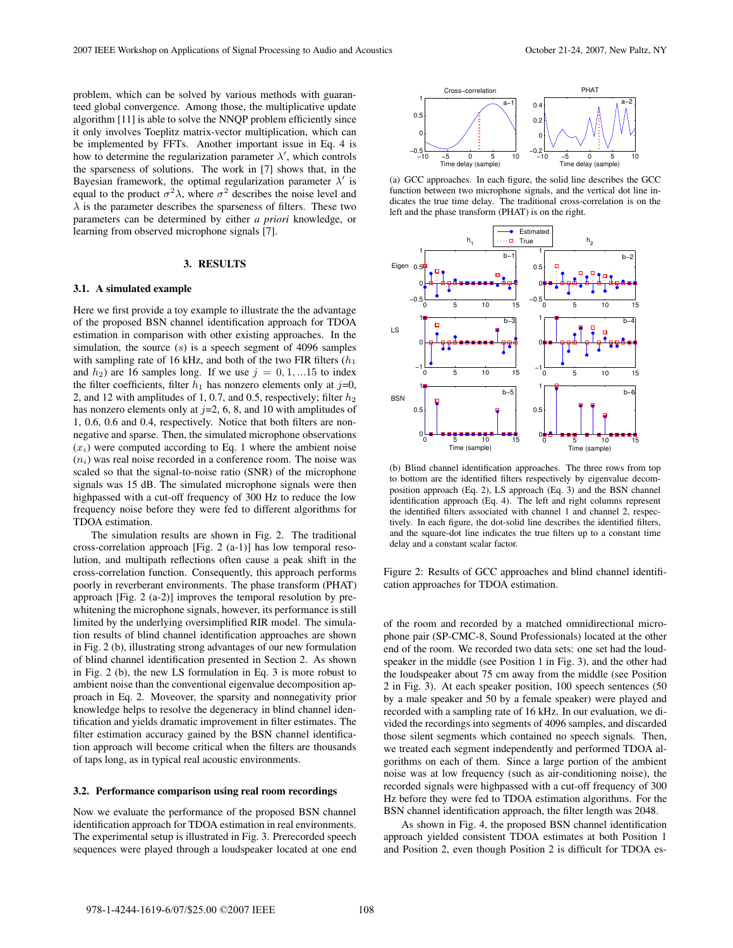problem, which can be solved by various methods with guaranteed global convergence. Among those, the multiplicative update algorithm [11] is able to solve the NNQP problem efficiently since it only involves Toeplitz matrix-vector multiplication, which can be implemented by FFTs. Another important issue in Eq. 4 is how to determine the regularization parameter  $\lambda'$ , which controls the sparseness of solutions. The work in [7] shows that, in the Bayesian framework, the optimal regularization parameter  $\lambda'$  is equal to the product  $\sigma^2 \lambda$ , where  $\sigma^2$  describes the noise level and  $\lambda$  is the parameter describes the sparseness of filters. These two parameters can be determined by either *a priori* knowledge, or learning from observed microphone signals [7].

# **3. RESULTS**

#### **3.1. A simulated example**

Here we first provide a toy example to illustrate the the advantage of the proposed BSN channel identification approach for TDOA estimation in comparison with other existing approaches. In the simulation, the source  $(s)$  is a speech segment of 4096 samples with sampling rate of 16 kHz, and both of the two FIR filters  $(h_1)$ and  $h_2$ ) are 16 samples long. If we use  $j = 0, 1, ... 15$  to index the filter coefficients, filter  $h_1$  has nonzero elements only at  $j=0$ , 2, and 12 with amplitudes of 1, 0.7, and 0.5, respectively; filter  $h_2$ has nonzero elements only at  $j=2, 6, 8$ , and 10 with amplitudes of 1, 0.6, 0.6 and 0.4, respectively. Notice that both filters are nonnegative and sparse. Then, the simulated microphone observations  $(x<sub>i</sub>)$  were computed according to Eq. 1 where the ambient noise  $(n<sub>i</sub>)$  was real noise recorded in a conference room. The noise was scaled so that the signal-to-noise ratio (SNR) of the microphone signals was 15 dB. The simulated microphone signals were then highpassed with a cut-off frequency of 300 Hz to reduce the low frequency noise before they were fed to different algorithms for TDOA estimation.

The simulation results are shown in Fig. 2. The traditional cross-correlation approach [Fig. 2 (a-1)] has low temporal resolution, and multipath reflections often cause a peak shift in the cross-correlation function. Consequently, this approach performs poorly in reverberant environments. The phase transform (PHAT) approach [Fig. 2 (a-2)] improves the temporal resolution by prewhitening the microphone signals, however, its performance is still limited by the underlying oversimplified RIR model. The simulation results of blind channel identification approaches are shown in Fig. 2 (b), illustrating strong advantages of our new formulation of blind channel identification presented in Section 2. As shown in Fig. 2 (b), the new LS formulation in Eq. 3 is more robust to ambient noise than the conventional eigenvalue decomposition approach in Eq. 2. Moveover, the sparsity and nonnegativity prior knowledge helps to resolve the degeneracy in blind channel identification and yields dramatic improvement in filter estimates. The filter estimation accuracy gained by the BSN channel identification approach will become critical when the filters are thousands of taps long, as in typical real acoustic environments.

### **3.2. Performance comparison using real room recordings**

Now we evaluate the performance of the proposed BSN channel identification approach for TDOA estimation in real environments. The experimental setup is illustrated in Fig. 3. Prerecorded speech sequences were played through a loudspeaker located at one end



(a) GCC approaches. In each figure, the solid line describes the GCC function between two microphone signals, and the vertical dot line indicates the true time delay. The traditional cross-correlation is on the left and the phase transform (PHAT) is on the right.



(b) Blind channel identification approaches. The three rows from top to bottom are the identified filters respectively by eigenvalue decomposition approach (Eq. 2), LS approach (Eq. 3) and the BSN channel identification approach (Eq. 4). The left and right columns represent the identified filters associated with channel 1 and channel 2, respectively. In each figure, the dot-solid line describes the identified filters, and the square-dot line indicates the true filters up to a constant time delay and a constant scalar factor.

Figure 2: Results of GCC approaches and blind channel identification approaches for TDOA estimation.

of the room and recorded by a matched omnidirectional microphone pair (SP-CMC-8, Sound Professionals) located at the other end of the room. We recorded two data sets: one set had the loudspeaker in the middle (see Position 1 in Fig. 3), and the other had the loudspeaker about 75 cm away from the middle (see Position 2 in Fig. 3). At each speaker position, 100 speech sentences (50 by a male speaker and 50 by a female speaker) were played and recorded with a sampling rate of 16 kHz. In our evaluation, we divided the recordings into segments of 4096 samples, and discarded those silent segments which contained no speech signals. Then, we treated each segment independently and performed TDOA algorithms on each of them. Since a large portion of the ambient noise was at low frequency (such as air-conditioning noise), the recorded signals were highpassed with a cut-off frequency of 300 Hz before they were fed to TDOA estimation algorithms. For the BSN channel identification approach, the filter length was 2048.

As shown in Fig. 4, the proposed BSN channel identification approach yielded consistent TDOA estimates at both Position 1 and Position 2, even though Position 2 is difficult for TDOA es-